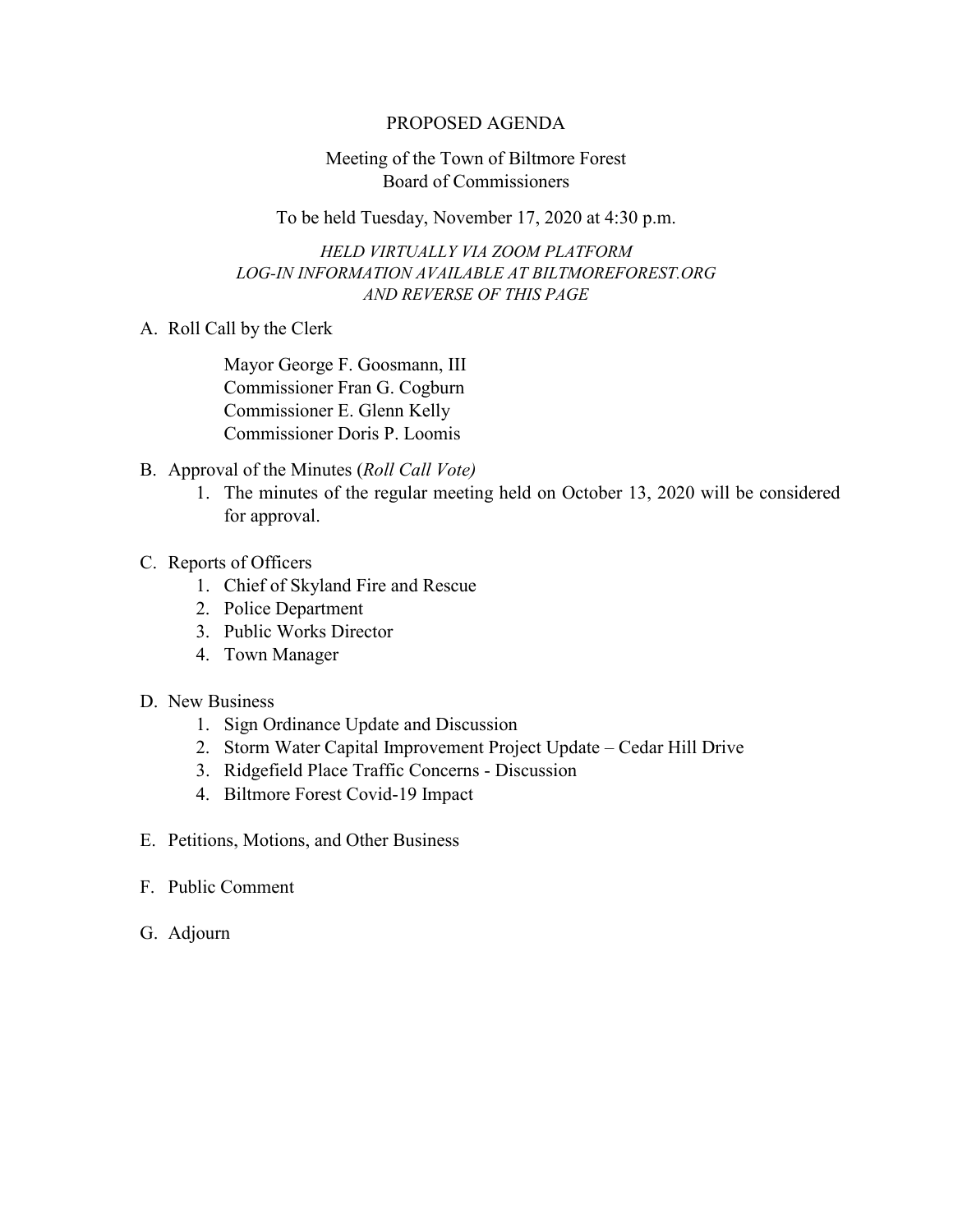## PROPOSED AGENDA

## Meeting of the Town of Biltmore Forest Board of Commissioners

To be held Tuesday, November 17, 2020 at 4:30 p.m.

*HELD VIRTUALLY VIA ZOOM PLATFORM LOG-IN INFORMATION AVAILABLE AT BILTMOREFOREST.ORG AND REVERSE OF THIS PAGE*

A. Roll Call by the Clerk

Mayor George F. Goosmann, III Commissioner Fran G. Cogburn Commissioner E. Glenn Kelly Commissioner Doris P. Loomis

- B. Approval of the Minutes (*Roll Call Vote)*
	- 1. The minutes of the regular meeting held on October 13, 2020 will be considered for approval.
- C. Reports of Officers
	- 1. Chief of Skyland Fire and Rescue
	- 2. Police Department
	- 3. Public Works Director
	- 4. Town Manager
- D. New Business
	- 1. Sign Ordinance Update and Discussion
	- 2. Storm Water Capital Improvement Project Update Cedar Hill Drive
	- 3. Ridgefield Place Traffic Concerns Discussion
	- 4. Biltmore Forest Covid-19 Impact
- E. Petitions, Motions, and Other Business
- F. Public Comment
- G. Adjourn